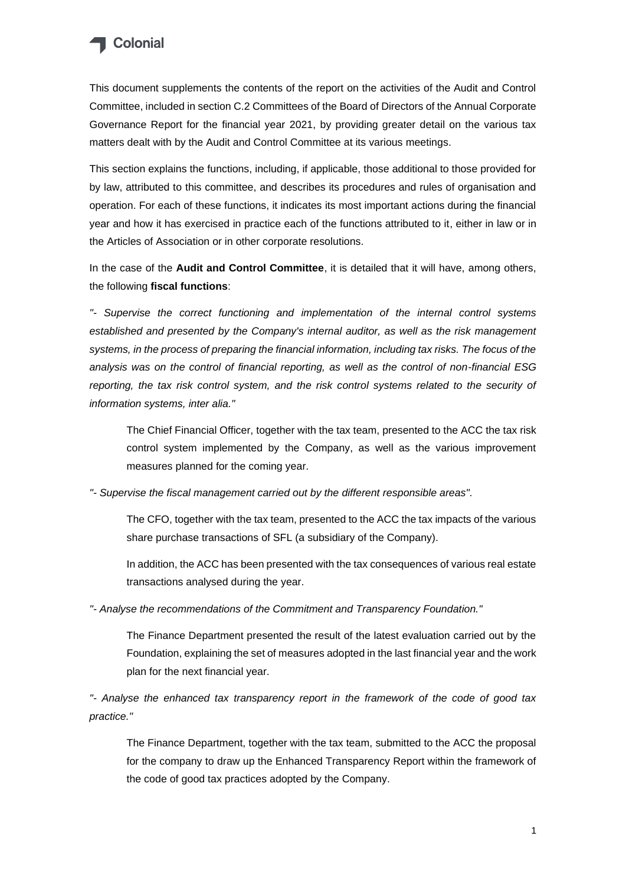

This document supplements the contents of the report on the activities of the Audit and Control Committee, included in section C.2 Committees of the Board of Directors of the Annual Corporate Governance Report for the financial year 2021, by providing greater detail on the various tax matters dealt with by the Audit and Control Committee at its various meetings.

This section explains the functions, including, if applicable, those additional to those provided for by law, attributed to this committee, and describes its procedures and rules of organisation and operation. For each of these functions, it indicates its most important actions during the financial year and how it has exercised in practice each of the functions attributed to it, either in law or in the Articles of Association or in other corporate resolutions.

In the case of the **Audit and Control Committee**, it is detailed that it will have, among others, the following **fiscal functions**:

*"- Supervise the correct functioning and implementation of the internal control systems established and presented by the Company's internal auditor, as well as the risk management systems, in the process of preparing the financial information, including tax risks. The focus of the analysis was on the control of financial reporting, as well as the control of non-financial ESG reporting, the tax risk control system, and the risk control systems related to the security of information systems, inter alia."*

The Chief Financial Officer, together with the tax team, presented to the ACC the tax risk control system implemented by the Company, as well as the various improvement measures planned for the coming year.

*"- Supervise the fiscal management carried out by the different responsible areas".*

The CFO, together with the tax team, presented to the ACC the tax impacts of the various share purchase transactions of SFL (a subsidiary of the Company).

In addition, the ACC has been presented with the tax consequences of various real estate transactions analysed during the year.

*"- Analyse the recommendations of the Commitment and Transparency Foundation."*

The Finance Department presented the result of the latest evaluation carried out by the Foundation, explaining the set of measures adopted in the last financial year and the work plan for the next financial year.

*"- Analyse the enhanced tax transparency report in the framework of the code of good tax practice."*

The Finance Department, together with the tax team, submitted to the ACC the proposal for the company to draw up the Enhanced Transparency Report within the framework of the code of good tax practices adopted by the Company.